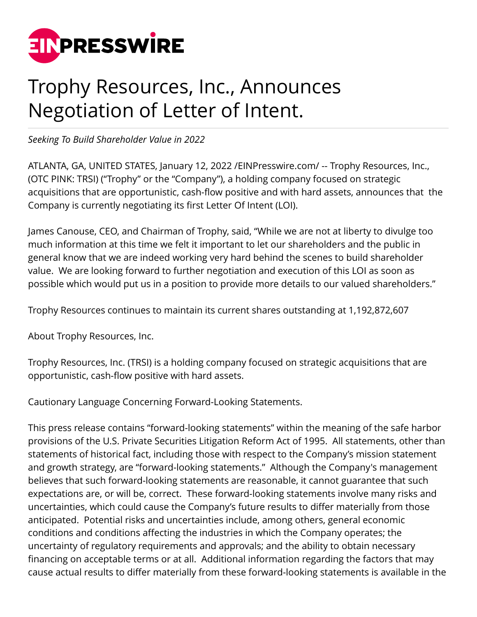

## Trophy Resources, Inc., Announces Negotiation of Letter of Intent.

*Seeking To Build Shareholder Value in 2022*

ATLANTA, GA, UNITED STATES, January 12, 2022 [/EINPresswire.com](http://www.einpresswire.com)/ -- Trophy Resources, Inc., (OTC PINK: TRSI) ("Trophy" or the "Company"), a holding company focused on strategic acquisitions that are opportunistic, cash-flow positive and with hard assets, announces that the Company is currently negotiating its first Letter Of Intent (LOI).

James Canouse, CEO, and Chairman of Trophy, said, "While we are not at liberty to divulge too much information at this time we felt it important to let our shareholders and the public in general know that we are indeed working very hard behind the scenes to build shareholder value. We are looking forward to further negotiation and execution of this LOI as soon as possible which would put us in a position to provide more details to our valued shareholders."

Trophy Resources continues to maintain its current shares outstanding at 1,192,872,607

About Trophy Resources, Inc.

Trophy Resources, Inc. (TRSI) is a holding company focused on strategic acquisitions that are opportunistic, cash-flow positive with hard assets.

Cautionary Language Concerning Forward-Looking Statements.

This press release contains "forward-looking statements" within the meaning of the safe harbor provisions of the U.S. Private Securities Litigation Reform Act of 1995. All statements, other than statements of historical fact, including those with respect to the Company's mission statement and growth strategy, are "forward-looking statements." Although the Company's management believes that such forward-looking statements are reasonable, it cannot guarantee that such expectations are, or will be, correct. These forward-looking statements involve many risks and uncertainties, which could cause the Company's future results to differ materially from those anticipated. Potential risks and uncertainties include, among others, general economic conditions and conditions affecting the industries in which the Company operates; the uncertainty of regulatory requirements and approvals; and the ability to obtain necessary financing on acceptable terms or at all. Additional information regarding the factors that may cause actual results to differ materially from these forward-looking statements is available in the